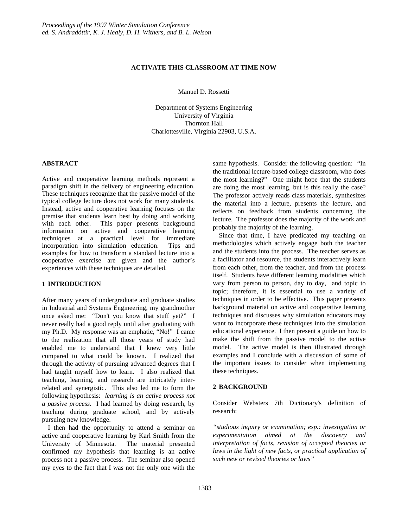# **ACTIVATE THIS CLASSROOM AT TIME NOW**

Manuel D. Rossetti

Department of Systems Engineering University of Virginia Thornton Hall Charlottesville, Virginia 22903, U.S.A.

### **ABSTRACT**

Active and cooperative learning methods represent a paradigm shift in the delivery of engineering education. These techniques recognize that the passive model of the typical college lecture does not work for many students. Instead, active and cooperative learning focuses on the premise that students learn best by doing and working with each other. This paper presents background information on active and cooperative learning techniques at a practical level for immediate incorporation into simulation education. Tips and examples for how to transform a standard lecture into a cooperative exercise are given and the author's experiences with these techniques are detailed.

### **1 INTRODUCTION**

After many years of undergraduate and graduate studies in Industrial and Systems Engineering, my grandmother once asked me: "Don't you know that stuff yet?" I never really had a good reply until after graduating with my Ph.D. My response was an emphatic, "No!" I came to the realization that all those years of study had enabled me to understand that I knew very little compared to what could be known. I realized that through the activity of pursuing advanced degrees that I had taught myself how to learn. I also realized that teaching, learning, and research are intricately interrelated and synergistic. This also led me to form the following hypothesis: *learning is an active process not a passive process*. I had learned by doing research, by teaching during graduate school, and by actively pursuing new knowledge.

I then had the opportunity to attend a seminar on active and cooperative learning by Karl Smith from the University of Minnesota. The material presented confirmed my hypothesis that learning is an active process not a passive process. The seminar also opened my eyes to the fact that I was not the only one with the

same hypothesis. Consider the following question: "In the traditional lecture-based college classroom, who does the most learning?" One might hope that the students are doing the most learning, but is this really the case? The professor actively reads class materials, synthesizes the material into a lecture, presents the lecture, and reflects on feedback from students concerning the lecture. The professor does the majority of the work and probably the majority of the learning.

Since that time, I have predicated my teaching on methodologies which actively engage both the teacher and the students into the process. The teacher serves as a facilitator and resource, the students interactively learn from each other, from the teacher, and from the process itself. Students have different learning modalities which vary from person to person, day to day, and topic to topic; therefore, it is essential to use a variety of techniques in order to be effective. This paper presents background material on active and cooperative learning techniques and discusses why simulation educators may want to incorporate these techniques into the simulation educational experience. I then present a guide on how to make the shift from the passive model to the active model. The active model is then illustrated through examples and I conclude with a discussion of some of the important issues to consider when implementing these techniques.

### **2 BACKGROUND**

Consider Websters 7th Dictionary's definition of research:

*"studious inquiry or examination; esp.: investigation or experimentation aimed at the discovery and interpretation of facts, revision of accepted theories or laws in the light of new facts, or practical application of such new or revised theories or laws"*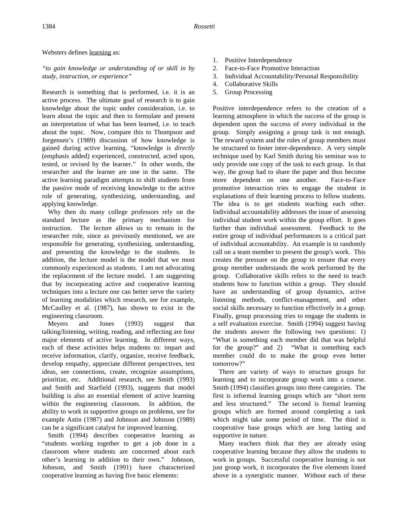Websters defines learning as:

*"to gain knowledge or understanding of or skill in by study, instruction, or experience"*

Research is something that is performed, i.e. it is an active process. The ultimate goal of research is to gain knowledge about the topic under consideration, i.e. to learn about the topic and then to formulate and present an interpretation of what has been learned, i.e. to teach about the topic. Now, compare this to Thompson and Jorgensen's (1989) discussion of how knowledge is gained during active learning, "knowledge is *directly* (emphasis added) experienced, constructed, acted upon, tested, or revised by the learner." In other words, the researcher and the learner are one in the same. The active learning paradigm attempts to shift students from the passive mode of receiving knowledge to the active role of generating, synthesizing, understanding, and applying knowledge.

Why then do many college professors rely on the standard lecture as the primary mechanism for instruction. The lecture allows us to remain in the researcher role, since as previously mentioned, we are responsible for generating, synthesizing, understanding, and presenting the knowledge to the students. In addition, the lecture model is the model that we most commonly experienced as students. I am not advocating the replacement of the lecture model. I am suggesting that by incorporating active and cooperative learning techniques into a lecture one can better serve the variety of learning modalities which research, see for example, McCaulley et al. (1987), has shown to exist in the engineering classroom.

Meyers and Jones (1993) suggest that talking/listening, writing, reading, and reflecting are four major elements of active learning. In different ways, each of these activities helps students to: impart and receive information, clarify, organize, receive feedback, develop empathy, appreciate different perspectives, test ideas, see connections, create, recognize assumptions, prioritize, etc. Additional research, see Smith (1993) and Smith and Starfield (1993), suggests that model building is also an essential element of active learning within the engineering classroom. In addition, the ability to work in supportive groups on problems, see for example Astin (1987) and Johnson and Johnson (1989) can be a significant catalyst for improved learning.

Smith (1994) describes cooperative learning as "students working together to get a job done in a classroom where students are concerned about each other's learning in addition to their own." Johnson, Johnson, and Smith (1991) have characterized cooperative learning as having five basic elements:

- 1. Positive Interdependence
- 2. Face-to-Face Promotive Interaction
- 3. Individual Accountability/Personal Responsibility
- 4. Collaborative Skills
- 5. Group Processing

Positive interdependence refers to the creation of a learning atmosphere in which the success of the group is dependent upon the success of every individual in the group. Simply assigning a group task is not enough. The reward system and the roles of group members must be structured to foster inter-dependence. A very simple technique used by Karl Smith during his seminar was to only provide one copy of the task to each group. In that way, the group had to share the paper and thus become more dependent on one another. Face-to-Face promotive interaction tries to engage the student in explanations of their learning process to fellow students. The idea is to get students teaching each other. Individual accountability addresses the issue of assessing individual student work within the group effort. It goes further than individual assessment. Feedback to the entire group of individual performances is a critical part of individual accountability. An example is to randomly call on a team member to present the group's work. This creates the pressure on the group to ensure that every group member understands the work performed by the group. Collaborative skills refers to the need to teach students how to function within a group. They should have an understanding of group dynamics, active listening methods, conflict-management, and other social skills necessary to function effectively in a group. Finally, group processing tries to engage the students in a self evaluation exercise. Smith (1994) suggest having the students answer the following two questions: 1) "What is something each member did that was helpful for the group?" and 2) "What is something each member could do to make the group even better tomorrow?"

There are variety of ways to structure groups for learning and to incorporate group work into a course. Smith (1994) classifies groups into three categories. The first is informal learning groups which are "short term and less structured." The second is formal learning groups which are formed around completing a task which might take some period of time. The third is cooperative base groups which are long lasting and supportive in nature.

Many teachers think that they are already using cooperative learning because they allow the students to work in groups. Successful cooperative learning is not just group work, it incorporates the five elements listed above in a synergistic manner. Without each of these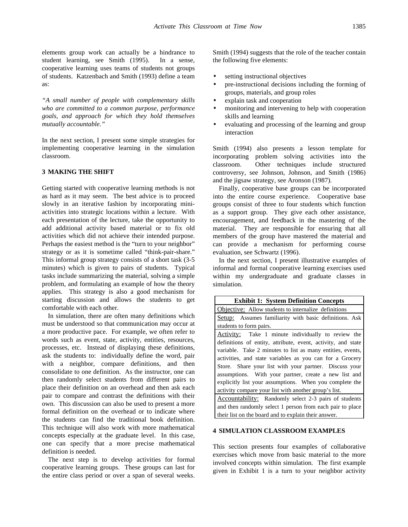elements group work can actually be a hindrance to student learning, see Smith (1995). In a sense, cooperative learning uses teams of students not groups of students. Katzenbach and Smith (1993) define a team as:

*"A small number of people with complementary skills who are committed to a common purpose, performance goals, and approach for which they hold themselves mutually accountable."*

In the next section, I present some simple strategies for implementing cooperative learning in the simulation classroom.

# **3 MAKING THE SHIFT**

Getting started with cooperative learning methods is not as hard as it may seem. The best advice is to proceed slowly in an iterative fashion by incorporating miniactivities into strategic locations within a lecture. With each presentation of the lecture, take the opportunity to add additional activity based material or to fix old activities which did not achieve their intended purpose. Perhaps the easiest method is the "turn to your neighbor" strategy or as it is sometime called "think-pair-share." This informal group strategy consists of a short task (3-5 minutes) which is given to pairs of students. Typical tasks include summarizing the material, solving a simple problem, and formulating an example of how the theory applies. This strategy is also a good mechanism for starting discussion and allows the students to get comfortable with each other.

In simulation, there are often many definitions which must be understood so that communication may occur at a more productive pace. For example, we often refer to words such as event, state, activity, entities, resources, processes, etc. Instead of displaying these definitions, ask the students to: individually define the word, pair with a neighbor, compare definitions, and then consolidate to one definition. As the instructor, one can then randomly select students from different pairs to place their definition on an overhead and then ask each pair to compare and contrast the definitions with their own. This discussion can also be used to present a more formal definition on the overhead or to indicate where the students can find the traditional book definition. This technique will also work with more mathematical concepts especially at the graduate level. In this case, one can specify that a more precise mathematical definition is needed.

The next step is to develop activities for formal cooperative learning groups. These groups can last for the entire class period or over a span of several weeks.

Smith (1994) suggests that the role of the teacher contain the following five elements:

- setting instructional objectives
- pre-instructional decisions including the forming of groups, materials, and group roles
- explain task and cooperation
- monitoring and intervening to help with cooperation skills and learning
- evaluating and processing of the learning and group interaction

Smith (1994) also presents a lesson template for incorporating problem solving activities into the classroom. Other techniques include structured controversy, see Johnson, Johnson, and Smith (1986) and the jigsaw strategy, see Aronson (1987).

Finally, cooperative base groups can be incorporated into the entire course experience. Cooperative base groups consist of three to four students which function as a support group. They give each other assistance, encouragement, and feedback in the mastering of the material. They are responsible for ensuring that all members of the group have mastered the material and can provide a mechanism for performing course evaluation, see Schwartz (1996).

In the next section, I present illustrative examples of informal and formal cooperative learning exercises used within my undergraduate and graduate classes in simulation.

| <b>Exhibit 1: System Definition Concepts</b>                  |
|---------------------------------------------------------------|
| Objective: Allow students to internalize definitions          |
| <b>Setup:</b> Assumes familiarity with basic definitions. Ask |
| students to form pairs.                                       |
| Activity: Take 1 minute individually to review the            |
| definitions of entity, attribute, event, activity, and state  |
| variable. Take 2 minutes to list as many entities, events,    |
| activities, and state variables as you can for a Grocery      |
| Store. Share your list with your partner. Discuss your        |
| assumptions. With your partner, create a new list and         |
| explicitly list your assumptions. When you complete the       |
| activity compare your list with another group's list.         |
| Accountability: Randomly select 2-3 pairs of students         |
| and then randomly select 1 person from each pair to place     |

### **4 SIMULATION CLASSROOM EXAMPLES**

their list on the board and to explain their answer.

This section presents four examples of collaborative exercises which move from basic material to the more involved concepts within simulation. The first example given in Exhibit 1 is a turn to your neighbor activity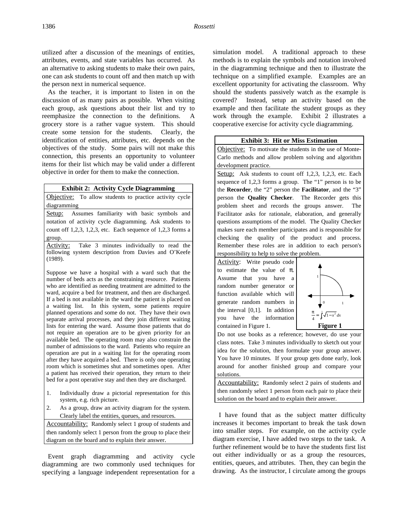utilized after a discussion of the meanings of entities, attributes, events, and state variables has occurred. As an alternative to asking students to make their own pairs, one can ask students to count off and then match up with the person next in numerical sequence.

As the teacher, it is important to listen in on the discussion of as many pairs as possible. When visiting each group, ask questions about their list and try to reemphasize the connection to the definitions. A grocery store is a rather vague system. This should create some tension for the students. Clearly, the identification of entities, attributes, etc. depends on the objectives of the study. Some pairs will not make this connection, this presents an opportunity to volunteer items for their list which may be valid under a different objective in order for them to make the connection.

### **Exhibit 2: Activity Cycle Diagramming**

Objective: To allow students to practice activity cycle diagramming

Setup: Assumes familiarity with basic symbols and notation of activity cycle diagramming. Ask students to count off 1,2,3, 1,2,3, etc. Each sequence of 1,2,3 forms a group.

Activity: Take 3 minutes individually to read the following system description from Davies and O'Keefe (1989).

Suppose we have a hospital with a ward such that the number of beds acts as the constraining resource. Patients who are identified as needing treatment are admitted to the ward, acquire a bed for treatment, and then are discharged. If a bed is not available in the ward the patient is placed on a waiting list. In this system, some patients require planned operations and some do not. They have their own separate arrival processes, and they join different waiting lists for entering the ward. Assume those patients that do not require an operation are to be given priority for an available bed. The operating room may also constrain the number of admissions to the ward. Patients who require an operation are put in a waiting list for the operating room after they have acquired a bed. There is only one operating room which is sometimes shut and sometimes open. After a patient has received their operation, they return to their bed for a post operative stay and then they are discharged.

- 1. Individually draw a pictorial representation for this system, e.g. rich picture.
- 2. As a group, draw an activity diagram for the system. Clearly label the entities, queues, and resources.

Accountability: Randomly select 1 group of students and then randomly select 1 person from the group to place their diagram on the board and to explain their answer.

Event graph diagramming and activity cycle diagramming are two commonly used techniques for specifying a language independent representation for a simulation model. A traditional approach to these methods is to explain the symbols and notation involved in the diagramming technique and then to illustrate the technique on a simplified example. Examples are an excellent opportunity for activating the classroom. Why should the students passively watch as the example is covered? Instead, setup an activity based on the example and then facilitate the student groups as they work through the example. Exhibit 2 illustrates a cooperative exercise for activity cycle diagramming.

### **Exhibit 3: Hit or Miss Estimation**

Objective: To motivate the students in the use of Monte-Carlo methods and allow problem solving and algorithm development practice.

Setup: Ask students to count off 1,2,3, 1,2,3, etc. Each sequence of 1,2,3 forms a group. The "1" person is to be the **Recorder**, the "2" person the **Facilitator**, and the "3" person the **Quality Checker**. The Recorder gets this problem sheet and records the groups answer. The Facilitator asks for rationale, elaboration, and generally questions assumptions of the model. The Quality Checker makes sure each member participates and is responsible for checking the quality of the product and process. Remember these roles are in addition to each person's responsibility to help to solve the problem.

Activity: Write pseudo code to estimate the value of  $\pi$ . Assume that you have a random number generator or function available which will generate random numbers in the interval [0,1]. In addition you have the information contained in Figure 1.



Do not use books as a reference; however, do use your class notes. Take 3 minutes individually to sketch out your idea for the solution, then formulate your group answer. You have 10 minutes. If your group gets done early, look around for another finished group and compare your solutions.

Accountability: Randomly select 2 pairs of students and then randomly select 1 person from each pair to place their solution on the board and to explain their answer.

I have found that as the subject matter difficulty increases it becomes important to break the task down into smaller steps. For example, on the activity cycle diagram exercise, I have added two steps to the task. A further refinement would be to have the students first list out either individually or as a group the resources, entities, queues, and attributes. Then, they can begin the drawing. As the instructor, I circulate among the groups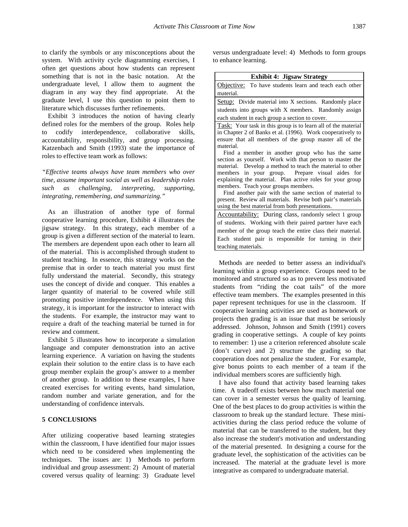to clarify the symbols or any misconceptions about the system. With activity cycle diagramming exercises, I often get questions about how students can represent something that is not in the basic notation. At the undergraduate level, I allow them to augment the diagram in any way they find appropriate. At the graduate level, I use this question to point them to literature which discusses further refinements.

Exhibit 3 introduces the notion of having clearly defined roles for the members of the group. Roles help to codify interdependence, collaborative skills, accountability, responsibility, and group processing. Katzenbach and Smith (1993) state the importance of roles to effective team work as follows:

*"Effective teams always have team members who over time, assume important social as well as leadership roles such as challenging, interpreting, supporting, integrating, remembering, and summarizing."*

As an illustration of another type of formal cooperative learning procedure, Exhibit 4 illustrates the jigsaw strategy. In this strategy, each member of a group is given a different section of the material to learn. The members are dependent upon each other to learn all of the material. This is accomplished through student to student teaching. In essence, this strategy works on the premise that in order to teach material you must first fully understand the material. Secondly, this strategy uses the concept of divide and conquer. This enables a larger quantity of material to be covered while still promoting positive interdependence. When using this strategy, it is important for the instructor to interact with the students. For example, the instructor may want to require a draft of the teaching material be turned in for review and comment.

Exhibit 5 illustrates how to incorporate a simulation language and computer demonstration into an active learning experience. A variation on having the students explain their solution to the entire class is to have each group member explain the group's answer to a member of another group. In addition to these examples, I have created exercises for writing events, hand simulation, random number and variate generation, and for the understanding of confidence intervals.

### **5 CONCLUSIONS**

After utilizing cooperative based learning strategies within the classroom, I have identified four major issues which need to be considered when implementing the techniques. The issues are: 1) Methods to perform individual and group assessment: 2) Amount of material covered versus quality of learning: 3) Graduate level

versus undergraduate level: 4) Methods to form groups to enhance learning.

| <b>Exhibit 4: Jigsaw Strategy</b> |  |  |
|-----------------------------------|--|--|
|                                   |  |  |

Objective: To have students learn and teach each other material.

Setup: Divide material into X sections. Randomly place students into groups with X members. Randomly assign each student in each group a section to cover.

Task: Your task in this group is to learn all of the material in Chapter 2 of Banks et al. (1996). Work cooperatively to ensure that all members of the group master all of the material.

Find a member in another group who has the same section as yourself. Work with that person to master the material. Develop a method to teach the material to other members in your group. Prepare visual aides for explaining the material. Plan active roles for your group members. Teach your groups members.

Find another pair with the same section of material to present. Review all materials. Revise both pair's materials using the best material from both presentations.

Accountability: During class, randomly select 1 group of students. Working with their paired partner have each member of the group teach the entire class their material. Each student pair is responsible for turning in their teaching materials.

Methods are needed to better assess an individual's learning within a group experience. Groups need to be monitored and structured so as to prevent less motivated students from "riding the coat tails" of the more effective team members. The examples presented in this paper represent techniques for use in the classroom. If cooperative learning activities are used as homework or projects then grading is an issue that must be seriously addressed. Johnson, Johnson and Smith (1991) covers grading in cooperative settings. A couple of key points to remember: 1) use a criterion referenced absolute scale (don't curve) and 2) structure the grading so that cooperation does not penalize the student. For example, give bonus points to each member of a team if the individual members scores are sufficiently high.

I have also found that activity based learning takes time. A tradeoff exists between how much material one can cover in a semester versus the quality of learning. One of the best places to do group activities is within the classroom to break up the standard lecture. These miniactivities during the class period reduce the volume of material that can be transferred to the student, but they also increase the student's motivation and understanding of the material presented. In designing a course for the graduate level, the sophistication of the activities can be increased. The material at the graduate level is more integrative as compared to undergraduate material.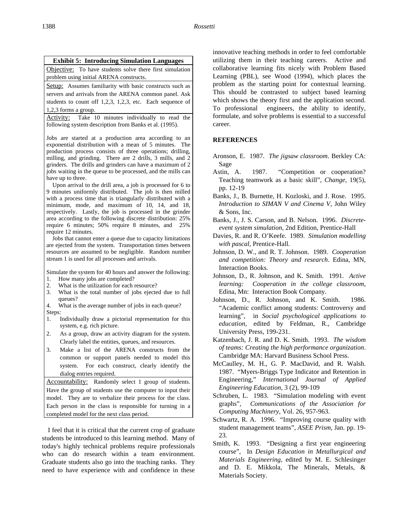| <b>Exhibit 5: Introducing Simulation Languages</b>       |  |
|----------------------------------------------------------|--|
| Objective: To have students solve there first simulation |  |
| problem using initial ARENA constructs.                  |  |

Setup: Assumes familiarity with basic constructs such as servers and arrivals from the ARENA common panel. Ask students to count off 1,2,3, 1,2,3, etc. Each sequence of 1,2,3 forms a group.

Activity: Take 10 minutes individually to read the following system description from Banks et al. (1995).

Jobs are started at a production area according to an exponential distribution with a mean of 5 minutes. The production process consists of three operations; drilling, milling, and grinding. There are 2 drills, 3 mills, and 2 grinders. The drills and grinders can have a maximum of 2 jobs waiting in the queue to be processed, and the mills can have up to three.

Upon arrival to the drill area, a job is processed for 6 to 9 minutes uniformly distributed. The job is then milled with a process time that is triangularly distributed with a minimum, mode, and maximum of 10, 14, and 18, respectively. Lastly, the job is processed in the grinder area according to the following discrete distribution: 25% require 6 minutes; 50% require 8 minutes, and 25% require 12 minutes.

Jobs that cannot enter a queue due to capacity limitations are ejected from the system. Transportation times between resources are assumed to be negligible. Random number stream 1 is used for all processes and arrivals.

Simulate the system for 40 hours and answer the following:

- 1. How many jobs are completed?
- 2. What is the utilization for each resource?
- 3. What is the total number of jobs ejected due to full queues?

4. What is the average number of jobs in each queue? Steps:

- 1. Individually draw a pictorial representation for this system, e.g. rich picture.
- 2. As a group, draw an activity diagram for the system. Clearly label the entities, queues, and resources.
- 3. Make a list of the ARENA constructs from the common or support panels needed to model this system. For each construct, clearly identify the dialog entries required.

Accountability: Randomly select 1 group of students. Have the group of students use the computer to input their model. They are to verbalize their process for the class. Each person in the class is responsible for turning in a completed model for the next class period.

I feel that it is critical that the current crop of graduate students be introduced to this learning method. Many of today's highly technical problems require professionals who can do research within a team environment. Graduate students also go into the teaching ranks. They need to have experience with and confidence in these innovative teaching methods in order to feel comfortable utilizing them in their teaching careers. Active and collaborative learning fits nicely with Problem Based Learning (PBL), see Wood (1994), which places the problem as the starting point for contextual learning. This should be contrasted to subject based learning which shows the theory first and the application second. To professional engineers, the ability to identify, formulate, and solve problems is essential to a successful career.

# **REFERENCES**

- Aronson, E. 1987. *The jigsaw classroom*. Berkley CA: Sage
- Astin, A. 1987. "Competition or cooperation? Teaching teamwork as a basic skill", *Change*, 19(5), pp. 12-19
- Banks, J., B. Burnette, H. Kozloski, and J. Rose. 1995. *Introduction to SIMAN V and Cinema V*, John Wiley & Sons, Inc.
- Banks, J., J. S. Carson, and B. Nelson. 1996. *Discreteevent system simulation*, 2nd Edition, Prentice-Hall
- Davies, R. and R. O'Keefe. 1989. *Simulation modelling with pascal*, Prentice-Hall.
- Johnson, D. W., and R. T. Johnson. 1989. *Cooperation and competition: Theory and research*. Edina, MN, Interaction Books.
- Johnson, D., R. Johnson, and K. Smith. 1991. *Active learning: Cooperation in the college classroom*, Edina, Mn: Interaction Book Company.
- Johnson, D., R. Johnson, and K. Smith. 1986. "Academic conflict among students: Controversy and learning", in *Social psychological applications to education*, edited by Feldman, R., Cambridge University Press, 199-231.
- Katzenbach, J. R. and D. K. Smith. 1993. *The wisdom of teams: Creating the high performance organization*. Cambridge MA: Harvard Business School Press.
- McCaulley, M. H., G. P. MacDavid, and R. Walsh. 1987. "Myers-Briggs Type Indicator and Retention in Engineering," *International Journal of Applied Engineering Education*, 3 (2), 99-109
- Schruben, L. 1983. "Simulation modeling with event graphs", *Communications of the Association for Computing Machinery*, Vol. 26, 957-963.
- Schwartz, R. A. 1996. "Improving course quality with student management teams", *ASEE Prism*, Jan. pp. 19- 23.
- Smith, K. 1993. "Designing a first year engineering course", In *Design Education in Metallurgical and Materials Engineering*, edited by M. E. Schlesinger and D. E. Mikkola, The Minerals, Metals, & Materials Society.